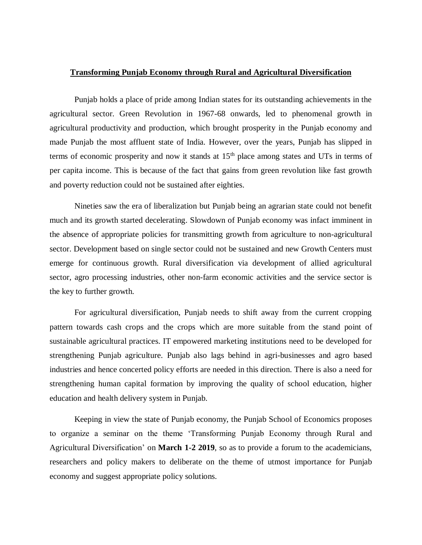## **Transforming Punjab Economy through Rural and Agricultural Diversification**

Punjab holds a place of pride among Indian states for its outstanding achievements in the agricultural sector. Green Revolution in 1967-68 onwards, led to phenomenal growth in agricultural productivity and production, which brought prosperity in the Punjab economy and made Punjab the most affluent state of India. However, over the years, Punjab has slipped in terms of economic prosperity and now it stands at  $15<sup>th</sup>$  place among states and UTs in terms of per capita income. This is because of the fact that gains from green revolution like fast growth and poverty reduction could not be sustained after eighties.

Nineties saw the era of liberalization but Punjab being an agrarian state could not benefit much and its growth started decelerating. Slowdown of Punjab economy was infact imminent in the absence of appropriate policies for transmitting growth from agriculture to non-agricultural sector. Development based on single sector could not be sustained and new Growth Centers must emerge for continuous growth. Rural diversification via development of allied agricultural sector, agro processing industries, other non-farm economic activities and the service sector is the key to further growth.

For agricultural diversification, Punjab needs to shift away from the current cropping pattern towards cash crops and the crops which are more suitable from the stand point of sustainable agricultural practices. IT empowered marketing institutions need to be developed for strengthening Punjab agriculture. Punjab also lags behind in agri-businesses and agro based industries and hence concerted policy efforts are needed in this direction. There is also a need for strengthening human capital formation by improving the quality of school education, higher education and health delivery system in Punjab.

Keeping in view the state of Punjab economy, the Punjab School of Economics proposes to organize a seminar on the theme 'Transforming Punjab Economy through Rural and Agricultural Diversification' on **March 1-2 2019**, so as to provide a forum to the academicians, researchers and policy makers to deliberate on the theme of utmost importance for Punjab economy and suggest appropriate policy solutions.